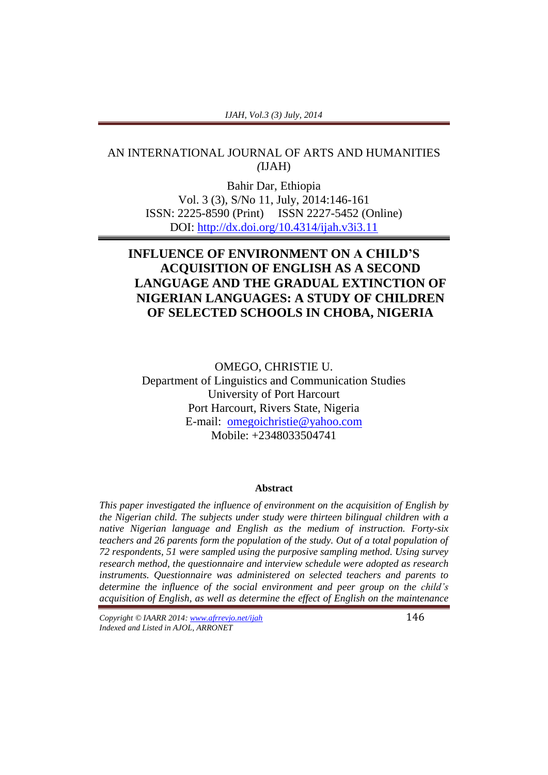#### *IJAH, Vol.3 (3) July, 2014*

## AN INTERNATIONAL JOURNAL OF ARTS AND HUMANITIES *(*IJAH)

Bahir Dar, Ethiopia Vol. 3 (3), S/No 11, July, 2014:146-161 ISSN: 2225-8590 (Print) ISSN 2227-5452 (Online) DOI:<http://dx.doi.org/10.4314/ijah.v3i3.11>

# **INFLUENCE OF ENVIRONMENT ON A CHILD'S ACQUISITION OF ENGLISH AS A SECOND LANGUAGE AND THE GRADUAL EXTINCTION OF NIGERIAN LANGUAGES: A STUDY OF CHILDREN OF SELECTED SCHOOLS IN CHOBA, NIGERIA**

OMEGO, CHRISTIE U. Department of Linguistics and Communication Studies University of Port Harcourt Port Harcourt, Rivers State, Nigeria E-mail: [omegoichristie@yahoo.com](mailto:omegoichristie@yahoo.com) Mobile: +2348033504741

#### **Abstract**

*This paper investigated the influence of environment on the acquisition of English by the Nigerian child. The subjects under study were thirteen bilingual children with a native Nigerian language and English as the medium of instruction. Forty-six teachers and 26 parents form the population of the study. Out of a total population of 72 respondents, 51 were sampled using the purposive sampling method. Using survey research method, the questionnaire and interview schedule were adopted as research instruments. Questionnaire was administered on selected teachers and parents to determine the influence of the social environment and peer group on the child's acquisition of English, as well as determine the effect of English on the maintenance* 

*Copyright © IAARR 2014: www.afrrevjo.net/ijah* 146 *Indexed and Listed in AJOL, ARRONET*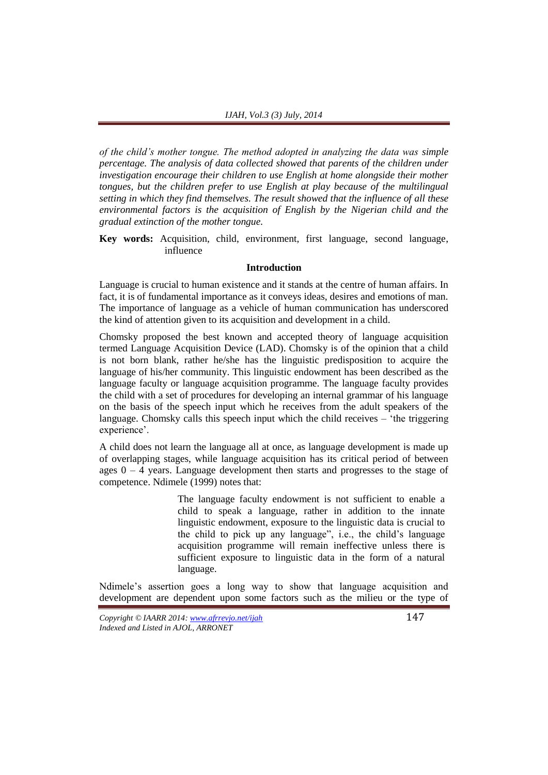*of the child's mother tongue. The method adopted in analyzing the data was simple percentage. The analysis of data collected showed that parents of the children under investigation encourage their children to use English at home alongside their mother tongues, but the children prefer to use English at play because of the multilingual setting in which they find themselves. The result showed that the influence of all these environmental factors is the acquisition of English by the Nigerian child and the gradual extinction of the mother tongue.*

**Key words:** Acquisition, child, environment, first language, second language, influence

### **Introduction**

Language is crucial to human existence and it stands at the centre of human affairs. In fact, it is of fundamental importance as it conveys ideas, desires and emotions of man. The importance of language as a vehicle of human communication has underscored the kind of attention given to its acquisition and development in a child.

Chomsky proposed the best known and accepted theory of language acquisition termed Language Acquisition Device (LAD). Chomsky is of the opinion that a child is not born blank, rather he/she has the linguistic predisposition to acquire the language of his/her community. This linguistic endowment has been described as the language faculty or language acquisition programme. The language faculty provides the child with a set of procedures for developing an internal grammar of his language on the basis of the speech input which he receives from the adult speakers of the language. Chomsky calls this speech input which the child receives – 'the triggering experience'.

A child does not learn the language all at once, as language development is made up of overlapping stages, while language acquisition has its critical period of between ages  $0 - 4$  years. Language development then starts and progresses to the stage of competence. Ndimele (1999) notes that:

> The language faculty endowment is not sufficient to enable a child to speak a language, rather in addition to the innate linguistic endowment, exposure to the linguistic data is crucial to the child to pick up any language", i.e., the child's language acquisition programme will remain ineffective unless there is sufficient exposure to linguistic data in the form of a natural language.

Ndimele's assertion goes a long way to show that language acquisition and development are dependent upon some factors such as the milieu or the type of

*Copyright © IAARR 2014: www.afrrevjo.net/ijah* 147 *Indexed and Listed in AJOL, ARRONET*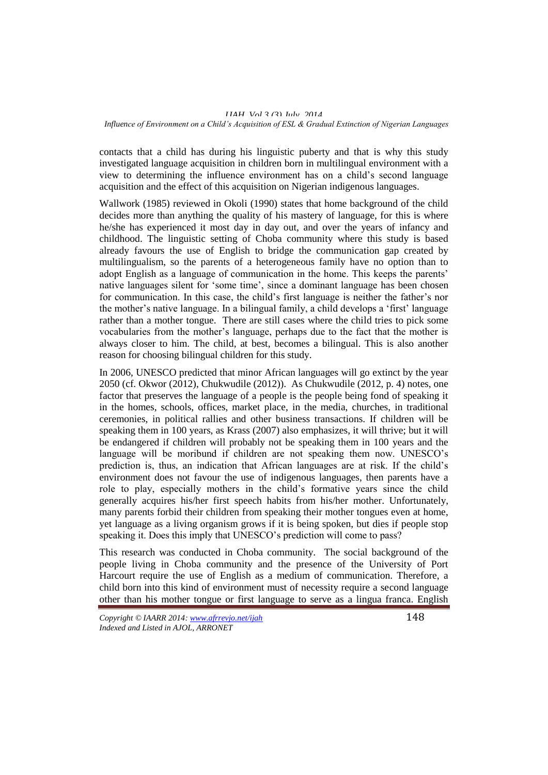#### *IJAH, Vol.3 (3) July, 2014 Influence of Environment on a Child's Acquisition of ESL & Gradual Extinction of Nigerian Languages*

contacts that a child has during his linguistic puberty and that is why this study investigated language acquisition in children born in multilingual environment with a view to determining the influence environment has on a child's second language acquisition and the effect of this acquisition on Nigerian indigenous languages.

Wallwork (1985) reviewed in Okoli (1990) states that home background of the child decides more than anything the quality of his mastery of language, for this is where he/she has experienced it most day in day out, and over the years of infancy and childhood. The linguistic setting of Choba community where this study is based already favours the use of English to bridge the communication gap created by multilingualism, so the parents of a heterogeneous family have no option than to adopt English as a language of communication in the home. This keeps the parents' native languages silent for 'some time', since a dominant language has been chosen for communication. In this case, the child's first language is neither the father's nor the mother's native language. In a bilingual family, a child develops a 'first' language rather than a mother tongue. There are still cases where the child tries to pick some vocabularies from the mother's language, perhaps due to the fact that the mother is always closer to him. The child, at best, becomes a bilingual. This is also another reason for choosing bilingual children for this study.

In 2006, UNESCO predicted that minor African languages will go extinct by the year 2050 (cf. Okwor (2012), Chukwudile (2012)). As Chukwudile (2012, p. 4) notes, one factor that preserves the language of a people is the people being fond of speaking it in the homes, schools, offices, market place, in the media, churches, in traditional ceremonies, in political rallies and other business transactions. If children will be speaking them in 100 years, as Krass (2007) also emphasizes, it will thrive; but it will be endangered if children will probably not be speaking them in 100 years and the language will be moribund if children are not speaking them now. UNESCO's prediction is, thus, an indication that African languages are at risk. If the child's environment does not favour the use of indigenous languages, then parents have a role to play, especially mothers in the child's formative years since the child generally acquires his/her first speech habits from his/her mother. Unfortunately, many parents forbid their children from speaking their mother tongues even at home, yet language as a living organism grows if it is being spoken, but dies if people stop speaking it. Does this imply that UNESCO's prediction will come to pass?

This research was conducted in Choba community. The social background of the people living in Choba community and the presence of the University of Port Harcourt require the use of English as a medium of communication. Therefore, a child born into this kind of environment must of necessity require a second language other than his mother tongue or first language to serve as a lingua franca. English

*Copyright © IAARR 2014: www.afrrevjo.net/ijah* 148 *Indexed and Listed in AJOL, ARRONET*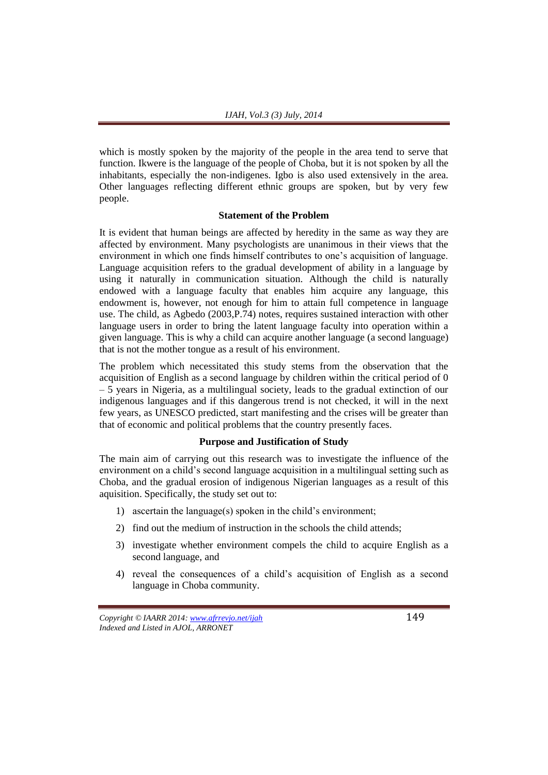which is mostly spoken by the majority of the people in the area tend to serve that function. Ikwere is the language of the people of Choba, but it is not spoken by all the inhabitants, especially the non-indigenes. Igbo is also used extensively in the area. Other languages reflecting different ethnic groups are spoken, but by very few people.

#### **Statement of the Problem**

It is evident that human beings are affected by heredity in the same as way they are affected by environment. Many psychologists are unanimous in their views that the environment in which one finds himself contributes to one's acquisition of language. Language acquisition refers to the gradual development of ability in a language by using it naturally in communication situation. Although the child is naturally endowed with a language faculty that enables him acquire any language, this endowment is, however, not enough for him to attain full competence in language use. The child, as Agbedo (2003,P.74) notes, requires sustained interaction with other language users in order to bring the latent language faculty into operation within a given language. This is why a child can acquire another language (a second language) that is not the mother tongue as a result of his environment.

The problem which necessitated this study stems from the observation that the acquisition of English as a second language by children within the critical period of 0 – 5 years in Nigeria, as a multilingual society, leads to the gradual extinction of our indigenous languages and if this dangerous trend is not checked, it will in the next few years, as UNESCO predicted, start manifesting and the crises will be greater than that of economic and political problems that the country presently faces.

#### **Purpose and Justification of Study**

The main aim of carrying out this research was to investigate the influence of the environment on a child's second language acquisition in a multilingual setting such as Choba, and the gradual erosion of indigenous Nigerian languages as a result of this aquisition. Specifically, the study set out to:

- 1) ascertain the language(s) spoken in the child's environment;
- 2) find out the medium of instruction in the schools the child attends;
- 3) investigate whether environment compels the child to acquire English as a second language, and
- 4) reveal the consequences of a child's acquisition of English as a second language in Choba community.

*Copyright © IAARR 2014: www.afrrevjo.net/ijah* 149 *Indexed and Listed in AJOL, ARRONET*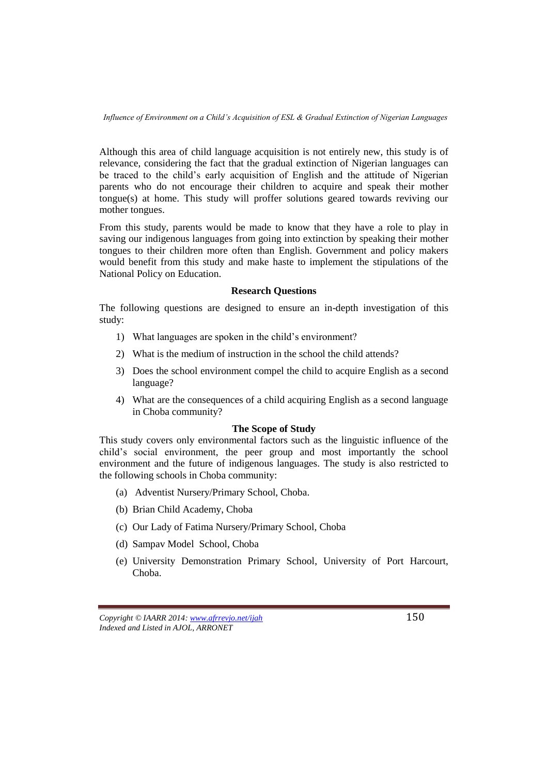Although this area of child language acquisition is not entirely new, this study is of relevance, considering the fact that the gradual extinction of Nigerian languages can be traced to the child's early acquisition of English and the attitude of Nigerian parents who do not encourage their children to acquire and speak their mother tongue(s) at home. This study will proffer solutions geared towards reviving our mother tongues.

From this study, parents would be made to know that they have a role to play in saving our indigenous languages from going into extinction by speaking their mother tongues to their children more often than English. Government and policy makers would benefit from this study and make haste to implement the stipulations of the National Policy on Education.

#### **Research Questions**

The following questions are designed to ensure an in-depth investigation of this study:

- 1) What languages are spoken in the child's environment?
- 2) What is the medium of instruction in the school the child attends?
- 3) Does the school environment compel the child to acquire English as a second language?
- 4) What are the consequences of a child acquiring English as a second language in Choba community?

#### **The Scope of Study**

This study covers only environmental factors such as the linguistic influence of the child's social environment, the peer group and most importantly the school environment and the future of indigenous languages. The study is also restricted to the following schools in Choba community:

- (a) Adventist Nursery/Primary School, Choba.
- (b) Brian Child Academy, Choba
- (c) Our Lady of Fatima Nursery/Primary School, Choba
- (d) Sampav Model School, Choba
- (e) University Demonstration Primary School, University of Port Harcourt, Choba.

*Copyright © IAARR 2014: www.afrrevjo.net/ijah* 150 *Indexed and Listed in AJOL, ARRONET*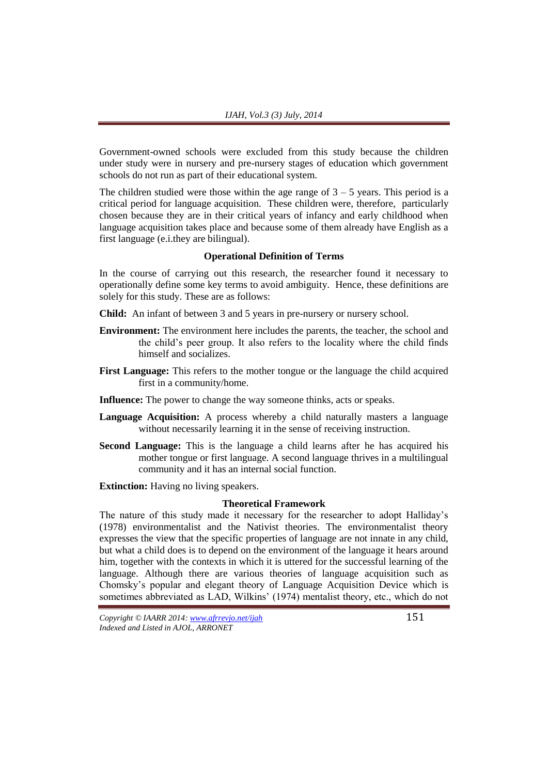Government-owned schools were excluded from this study because the children under study were in nursery and pre-nursery stages of education which government schools do not run as part of their educational system.

The children studied were those within the age range of  $3 - 5$  years. This period is a critical period for language acquisition. These children were, therefore, particularly chosen because they are in their critical years of infancy and early childhood when language acquisition takes place and because some of them already have English as a first language (e.i.they are bilingual).

## **Operational Definition of Terms**

In the course of carrying out this research, the researcher found it necessary to operationally define some key terms to avoid ambiguity. Hence, these definitions are solely for this study. These are as follows:

**Child:** An infant of between 3 and 5 years in pre-nursery or nursery school.

- **Environment:** The environment here includes the parents, the teacher, the school and the child's peer group. It also refers to the locality where the child finds himself and socializes.
- **First Language:** This refers to the mother tongue or the language the child acquired first in a community/home.
- **Influence:** The power to change the way someone thinks, acts or speaks.
- **Language Acquisition:** A process whereby a child naturally masters a language without necessarily learning it in the sense of receiving instruction.
- **Second Language:** This is the language a child learns after he has acquired his mother tongue or first language. A second language thrives in a multilingual community and it has an internal social function.

**Extinction:** Having no living speakers.

#### **Theoretical Framework**

The nature of this study made it necessary for the researcher to adopt Halliday's (1978) environmentalist and the Nativist theories. The environmentalist theory expresses the view that the specific properties of language are not innate in any child, but what a child does is to depend on the environment of the language it hears around him, together with the contexts in which it is uttered for the successful learning of the language. Although there are various theories of language acquisition such as Chomsky's popular and elegant theory of Language Acquisition Device which is sometimes abbreviated as LAD, Wilkins' (1974) mentalist theory, etc., which do not

*Copyright © IAARR 2014: www.afrrevjo.net/ijah* 151 *Indexed and Listed in AJOL, ARRONET*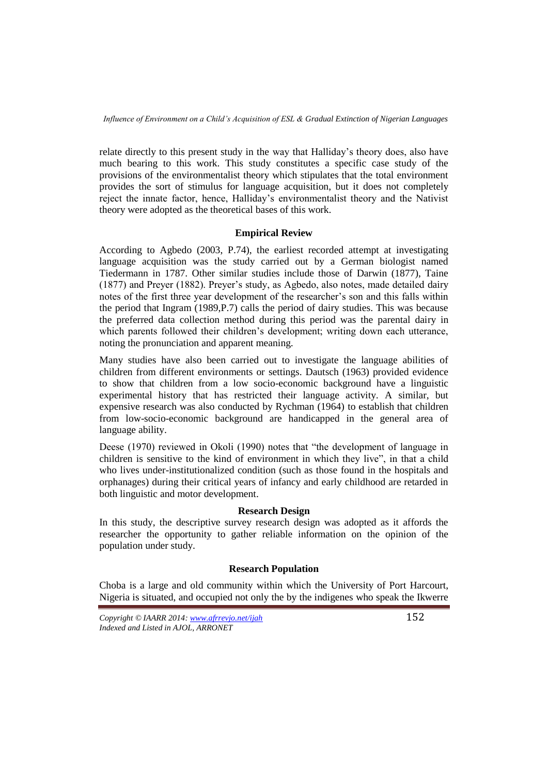relate directly to this present study in the way that Halliday's theory does, also have much bearing to this work. This study constitutes a specific case study of the provisions of the environmentalist theory which stipulates that the total environment provides the sort of stimulus for language acquisition, but it does not completely reject the innate factor, hence, Halliday's environmentalist theory and the Nativist theory were adopted as the theoretical bases of this work.

## **Empirical Review**

According to Agbedo (2003, P.74), the earliest recorded attempt at investigating language acquisition was the study carried out by a German biologist named Tiedermann in 1787. Other similar studies include those of Darwin (1877), Taine (1877) and Preyer (1882). Preyer's study, as Agbedo, also notes, made detailed dairy notes of the first three year development of the researcher's son and this falls within the period that Ingram (1989,P.7) calls the period of dairy studies. This was because the preferred data collection method during this period was the parental dairy in which parents followed their children's development; writing down each utterance, noting the pronunciation and apparent meaning.

Many studies have also been carried out to investigate the language abilities of children from different environments or settings. Dautsch (1963) provided evidence to show that children from a low socio-economic background have a linguistic experimental history that has restricted their language activity. A similar, but expensive research was also conducted by Rychman (1964) to establish that children from low-socio-economic background are handicapped in the general area of language ability.

Deese (1970) reviewed in Okoli (1990) notes that "the development of language in children is sensitive to the kind of environment in which they live", in that a child who lives under-institutionalized condition (such as those found in the hospitals and orphanages) during their critical years of infancy and early childhood are retarded in both linguistic and motor development.

## **Research Design**

In this study, the descriptive survey research design was adopted as it affords the researcher the opportunity to gather reliable information on the opinion of the population under study.

## **Research Population**

Choba is a large and old community within which the University of Port Harcourt, Nigeria is situated, and occupied not only the by the indigenes who speak the Ikwerre

*Copyright © IAARR 2014: www.afrrevjo.net/ijah* 152 *Indexed and Listed in AJOL, ARRONET*

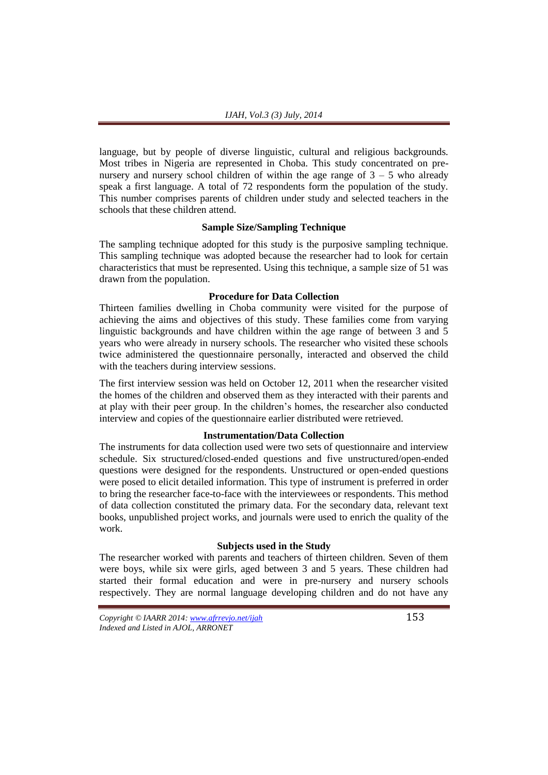language, but by people of diverse linguistic, cultural and religious backgrounds. Most tribes in Nigeria are represented in Choba. This study concentrated on prenursery and nursery school children of within the age range of  $3 - 5$  who already speak a first language. A total of 72 respondents form the population of the study. This number comprises parents of children under study and selected teachers in the schools that these children attend.

#### **Sample Size/Sampling Technique**

The sampling technique adopted for this study is the purposive sampling technique. This sampling technique was adopted because the researcher had to look for certain characteristics that must be represented. Using this technique, a sample size of 51 was drawn from the population.

#### **Procedure for Data Collection**

Thirteen families dwelling in Choba community were visited for the purpose of achieving the aims and objectives of this study. These families come from varying linguistic backgrounds and have children within the age range of between 3 and 5 years who were already in nursery schools. The researcher who visited these schools twice administered the questionnaire personally, interacted and observed the child with the teachers during interview sessions.

The first interview session was held on October 12, 2011 when the researcher visited the homes of the children and observed them as they interacted with their parents and at play with their peer group. In the children's homes, the researcher also conducted interview and copies of the questionnaire earlier distributed were retrieved.

## **Instrumentation/Data Collection**

The instruments for data collection used were two sets of questionnaire and interview schedule. Six structured/closed-ended questions and five unstructured/open-ended questions were designed for the respondents. Unstructured or open-ended questions were posed to elicit detailed information. This type of instrument is preferred in order to bring the researcher face-to-face with the interviewees or respondents. This method of data collection constituted the primary data. For the secondary data, relevant text books, unpublished project works, and journals were used to enrich the quality of the work.

#### **Subjects used in the Study**

The researcher worked with parents and teachers of thirteen children. Seven of them were boys, while six were girls, aged between 3 and 5 years. These children had started their formal education and were in pre-nursery and nursery schools respectively. They are normal language developing children and do not have any

*Copyright © IAARR 2014: www.afrrevjo.net/ijah* 153 *Indexed and Listed in AJOL, ARRONET*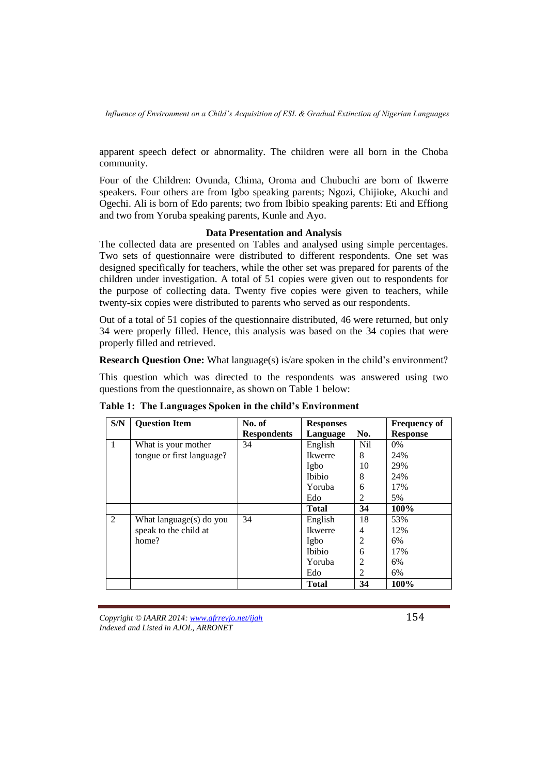apparent speech defect or abnormality. The children were all born in the Choba community.

Four of the Children: Ovunda, Chima, Oroma and Chubuchi are born of Ikwerre speakers. Four others are from Igbo speaking parents; Ngozi, Chijioke, Akuchi and Ogechi. Ali is born of Edo parents; two from Ibibio speaking parents: Eti and Effiong and two from Yoruba speaking parents, Kunle and Ayo.

## **Data Presentation and Analysis**

The collected data are presented on Tables and analysed using simple percentages. Two sets of questionnaire were distributed to different respondents. One set was designed specifically for teachers, while the other set was prepared for parents of the children under investigation. A total of 51 copies were given out to respondents for the purpose of collecting data. Twenty five copies were given to teachers, while twenty-six copies were distributed to parents who served as our respondents.

Out of a total of 51 copies of the questionnaire distributed, 46 were returned, but only 34 were properly filled. Hence, this analysis was based on the 34 copies that were properly filled and retrieved.

**Research Question One:** What language(s) is/are spoken in the child's environment?

This question which was directed to the respondents was answered using two questions from the questionnaire, as shown on Table 1 below:

| S/N          | <b>Question Item</b>      | No. of             | <b>Responses</b> |                | <b>Frequency of</b> |
|--------------|---------------------------|--------------------|------------------|----------------|---------------------|
|              |                           | <b>Respondents</b> | Language         | No.            | <b>Response</b>     |
| $\mathbf{1}$ | What is your mother       | 34                 | English          | <b>Nil</b>     | $0\%$               |
|              | tongue or first language? |                    | <b>Ikwerre</b>   | 8              | 24%                 |
|              |                           |                    | Igbo             | 10             | 29%                 |
|              |                           |                    | Ibibio           | 8              | 24%                 |
|              |                           |                    | Yoruba           | 6              | 17%                 |
|              |                           |                    | Edo              | 2              | 5%                  |
|              |                           |                    | <b>Total</b>     | 34             | 100%                |
| 2            | What language(s) do you   | 34                 | English          | 18             | 53%                 |
|              | speak to the child at     |                    | <b>Ikwerre</b>   | 4              | 12%                 |
|              | home?                     |                    | Igbo             | $\overline{2}$ | 6%                  |
|              |                           |                    | Ibibio           | 6              | 17%                 |
|              |                           |                    | Yoruba           | $\overline{2}$ | 6%                  |
|              |                           |                    | Edo              | 2              | 6%                  |
|              |                           |                    | <b>Total</b>     | 34             | 100%                |

**Table 1: The Languages Spoken in the child's Environment**

*Copyright © IAARR 2014: www.afrrevjo.net/ijah* 154 *Indexed and Listed in AJOL, ARRONET*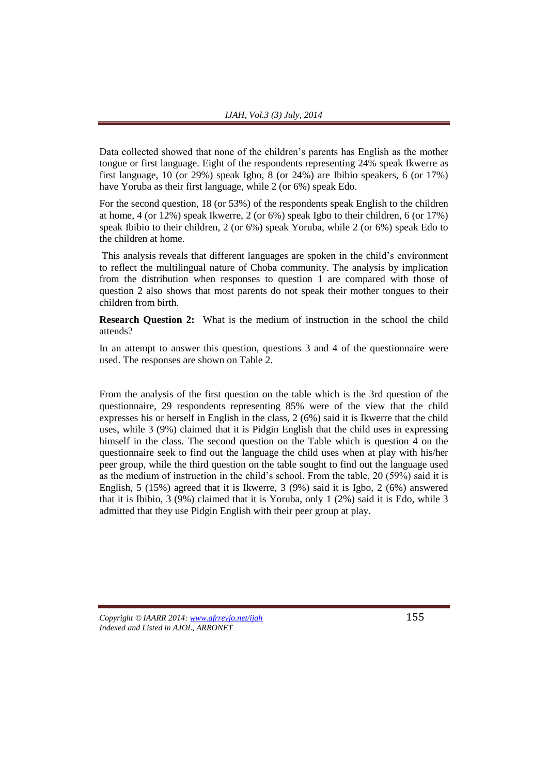Data collected showed that none of the children's parents has English as the mother tongue or first language. Eight of the respondents representing 24% speak Ikwerre as first language, 10 (or 29%) speak Igbo, 8 (or 24%) are Ibibio speakers, 6 (or 17%) have Yoruba as their first language, while 2 (or 6%) speak Edo.

For the second question, 18 (or 53%) of the respondents speak English to the children at home, 4 (or 12%) speak Ikwerre, 2 (or 6%) speak Igbo to their children, 6 (or 17%) speak Ibibio to their children, 2 (or 6%) speak Yoruba, while 2 (or 6%) speak Edo to the children at home.

This analysis reveals that different languages are spoken in the child's environment to reflect the multilingual nature of Choba community. The analysis by implication from the distribution when responses to question 1 are compared with those of question 2 also shows that most parents do not speak their mother tongues to their children from birth.

**Research Question 2:** What is the medium of instruction in the school the child attends?

In an attempt to answer this question, questions 3 and 4 of the questionnaire were used. The responses are shown on Table 2.

From the analysis of the first question on the table which is the 3rd question of the questionnaire, 29 respondents representing 85% were of the view that the child expresses his or herself in English in the class, 2 (6%) said it is Ikwerre that the child uses, while 3 (9%) claimed that it is Pidgin English that the child uses in expressing himself in the class. The second question on the Table which is question 4 on the questionnaire seek to find out the language the child uses when at play with his/her peer group, while the third question on the table sought to find out the language used as the medium of instruction in the child's school. From the table, 20 (59%) said it is English, 5 (15%) agreed that it is Ikwerre, 3 (9%) said it is Igbo, 2 (6%) answered that it is Ibibio, 3 (9%) claimed that it is Yoruba, only 1 (2%) said it is Edo, while 3 admitted that they use Pidgin English with their peer group at play.

*Copyright © IAARR 2014: www.afrrevjo.net/ijah* 155 *Indexed and Listed in AJOL, ARRONET*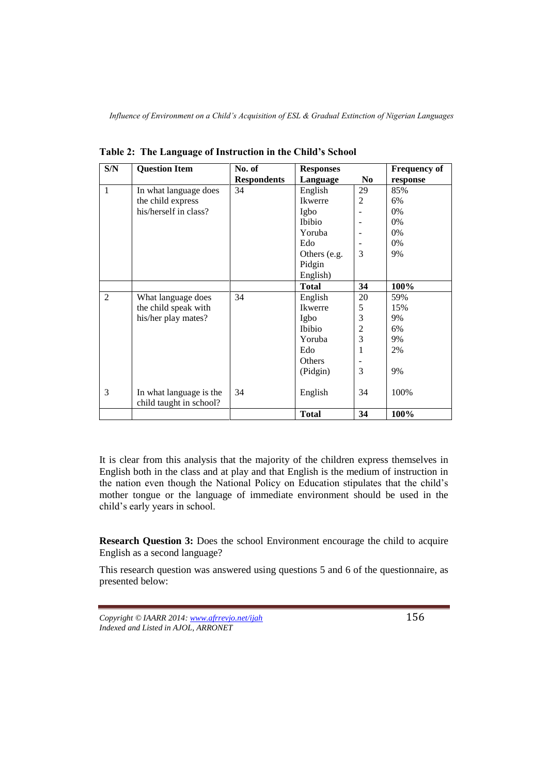| S/N            | <b>Question Item</b>    | No. of             | <b>Responses</b> |                | <b>Frequency of</b> |
|----------------|-------------------------|--------------------|------------------|----------------|---------------------|
|                |                         | <b>Respondents</b> | Language         | N <sub>0</sub> | response            |
| $\mathbf{1}$   | In what language does   | 34                 | English          | 29             | 85%                 |
|                | the child express       |                    | Ikwerre          | 2              | 6%                  |
|                | his/herself in class?   |                    | Igbo             |                | 0%                  |
|                |                         |                    | Ibibio           |                | $0\%$               |
|                |                         |                    | Yoruba           |                | $0\%$               |
|                |                         |                    | Edo              |                | $0\%$               |
|                |                         |                    | Others (e.g.     | 3              | 9%                  |
|                |                         |                    | Pidgin           |                |                     |
|                |                         |                    | English)         |                |                     |
|                |                         |                    | <b>Total</b>     | 34             | 100%                |
| $\overline{2}$ | What language does      | 34                 | English          | 20             | 59%                 |
|                | the child speak with    |                    | Ikwerre          | 5              | 15%                 |
|                | his/her play mates?     |                    | Igbo             | 3              | 9%                  |
|                |                         |                    | <b>Ibibio</b>    | $\overline{c}$ | 6%                  |
|                |                         |                    | Yoruba           | $\overline{3}$ | 9%                  |
|                |                         |                    | Edo              | 1              | 2%                  |
|                |                         |                    | Others           |                |                     |
|                |                         |                    | (Pidgin)         | 3              | 9%                  |
|                |                         |                    |                  |                |                     |
| 3              | In what language is the | 34                 | English          | 34             | 100%                |
|                | child taught in school? |                    |                  |                |                     |
|                |                         |                    | <b>Total</b>     | 34             | 100%                |

**Table 2: The Language of Instruction in the Child's School**

It is clear from this analysis that the majority of the children express themselves in English both in the class and at play and that English is the medium of instruction in the nation even though the National Policy on Education stipulates that the child's mother tongue or the language of immediate environment should be used in the child's early years in school.

**Research Question 3:** Does the school Environment encourage the child to acquire English as a second language?

This research question was answered using questions 5 and 6 of the questionnaire, as presented below:

*Copyright © IAARR 2014: www.afrrevjo.net/ijah* 156 *Indexed and Listed in AJOL, ARRONET*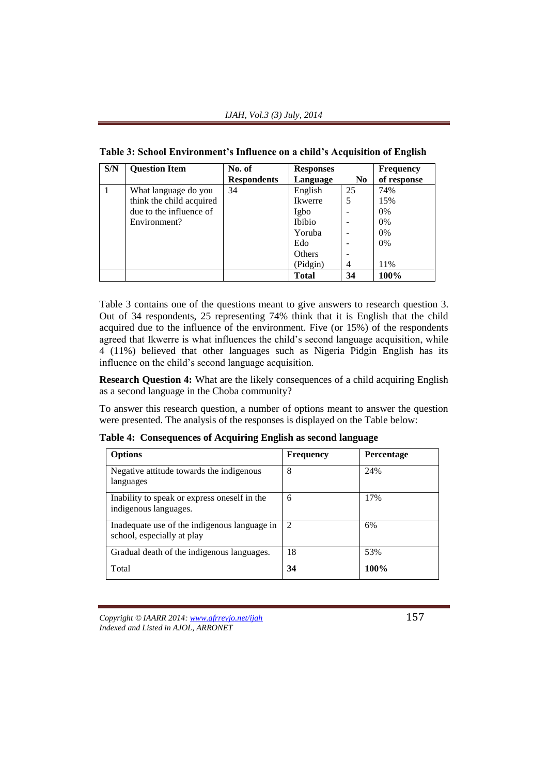| S/N | <b>Question Item</b>     | No. of             | <b>Responses</b> |                | <b>Frequency</b> |
|-----|--------------------------|--------------------|------------------|----------------|------------------|
|     |                          | <b>Respondents</b> | Language         | N <sub>0</sub> | of response      |
|     | What language do you     | 34                 | English          | 25             | 74%              |
|     | think the child acquired |                    | Ikwerre          | 5              | 15%              |
|     | due to the influence of  |                    | Igbo             |                | $0\%$            |
|     | Environment?             |                    | Ibibio           |                | 0%               |
|     |                          |                    | Yoruba           |                | 0%               |
|     |                          |                    | Edo              |                | $0\%$            |
|     |                          |                    | Others           |                |                  |
|     |                          |                    | (Pidgin)         | 4              | 11%              |
|     |                          |                    | <b>Total</b>     | 34             | 100%             |

**Table 3: School Environment's Influence on a child's Acquisition of English**

Table 3 contains one of the questions meant to give answers to research question 3. Out of 34 respondents, 25 representing 74% think that it is English that the child acquired due to the influence of the environment. Five (or 15%) of the respondents agreed that Ikwerre is what influences the child's second language acquisition, while 4 (11%) believed that other languages such as Nigeria Pidgin English has its influence on the child's second language acquisition.

**Research Question 4:** What are the likely consequences of a child acquiring English as a second language in the Choba community?

To answer this research question, a number of options meant to answer the question were presented. The analysis of the responses is displayed on the Table below:

**Table 4: Consequences of Acquiring English as second language**

| <b>Options</b>                                                             | <b>Frequency</b>            | <b>Percentage</b> |
|----------------------------------------------------------------------------|-----------------------------|-------------------|
| Negative attitude towards the indigenous<br>languages                      | 8                           | 24%               |
| Inability to speak or express oneself in the<br>indigenous languages.      | 6                           | 17%               |
| Inadequate use of the indigenous language in<br>school, especially at play | $\mathcal{D}_{\mathcal{L}}$ | 6%                |
| Gradual death of the indigenous languages.                                 | 18                          | 53%               |
| Total                                                                      | 34                          | 100%              |

*Copyright © IAARR 2014: www.afrrevjo.net/ijah* 157 *Indexed and Listed in AJOL, ARRONET*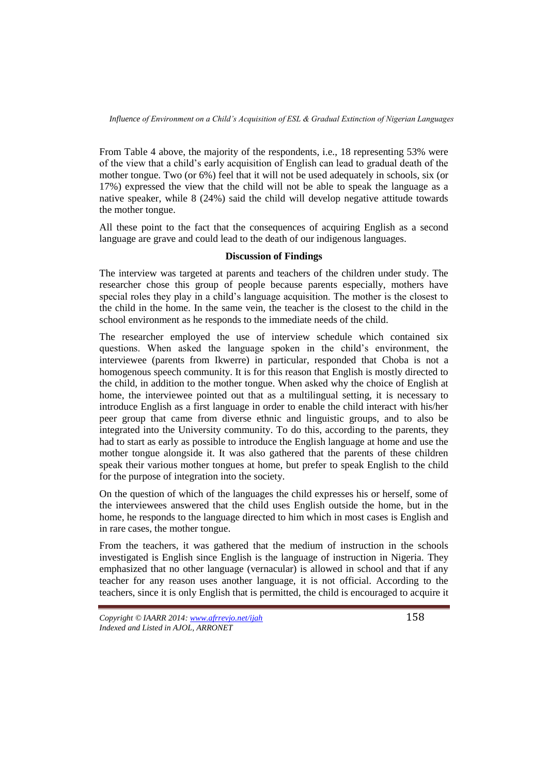From Table 4 above, the majority of the respondents, i.e., 18 representing 53% were of the view that a child's early acquisition of English can lead to gradual death of the mother tongue. Two (or 6%) feel that it will not be used adequately in schools, six (or 17%) expressed the view that the child will not be able to speak the language as a native speaker, while 8 (24%) said the child will develop negative attitude towards the mother tongue.

All these point to the fact that the consequences of acquiring English as a second language are grave and could lead to the death of our indigenous languages.

## **Discussion of Findings**

The interview was targeted at parents and teachers of the children under study. The researcher chose this group of people because parents especially, mothers have special roles they play in a child's language acquisition. The mother is the closest to the child in the home. In the same vein, the teacher is the closest to the child in the school environment as he responds to the immediate needs of the child.

The researcher employed the use of interview schedule which contained six questions. When asked the language spoken in the child's environment, the interviewee (parents from Ikwerre) in particular, responded that Choba is not a homogenous speech community. It is for this reason that English is mostly directed to the child, in addition to the mother tongue. When asked why the choice of English at home, the interviewee pointed out that as a multilingual setting, it is necessary to introduce English as a first language in order to enable the child interact with his/her peer group that came from diverse ethnic and linguistic groups, and to also be integrated into the University community. To do this, according to the parents, they had to start as early as possible to introduce the English language at home and use the mother tongue alongside it. It was also gathered that the parents of these children speak their various mother tongues at home, but prefer to speak English to the child for the purpose of integration into the society.

On the question of which of the languages the child expresses his or herself, some of the interviewees answered that the child uses English outside the home, but in the home, he responds to the language directed to him which in most cases is English and in rare cases, the mother tongue.

From the teachers, it was gathered that the medium of instruction in the schools investigated is English since English is the language of instruction in Nigeria. They emphasized that no other language (vernacular) is allowed in school and that if any teacher for any reason uses another language, it is not official. According to the teachers, since it is only English that is permitted, the child is encouraged to acquire it

*Copyright © IAARR 2014: www.afrrevjo.net/ijah* 158 *Indexed and Listed in AJOL, ARRONET*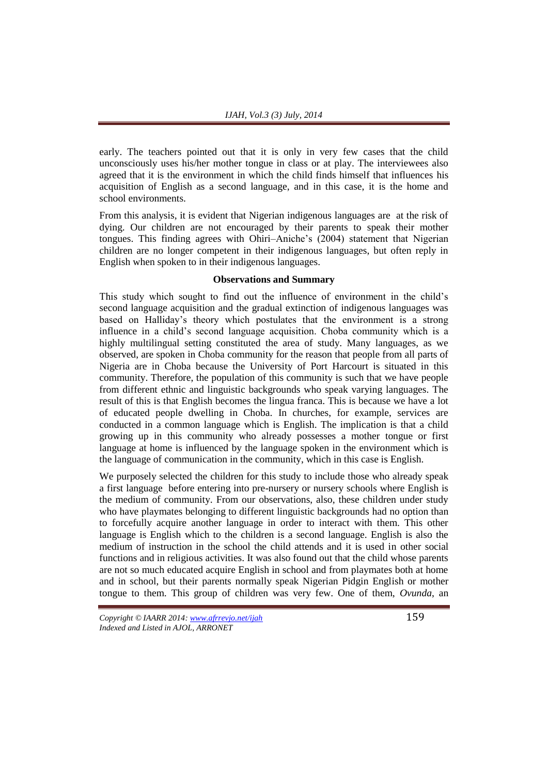early. The teachers pointed out that it is only in very few cases that the child unconsciously uses his/her mother tongue in class or at play. The interviewees also agreed that it is the environment in which the child finds himself that influences his acquisition of English as a second language, and in this case, it is the home and school environments.

From this analysis, it is evident that Nigerian indigenous languages are at the risk of dying. Our children are not encouraged by their parents to speak their mother tongues. This finding agrees with Ohiri–Aniche's (2004) statement that Nigerian children are no longer competent in their indigenous languages, but often reply in English when spoken to in their indigenous languages.

## **Observations and Summary**

This study which sought to find out the influence of environment in the child's second language acquisition and the gradual extinction of indigenous languages was based on Halliday's theory which postulates that the environment is a strong influence in a child's second language acquisition. Choba community which is a highly multilingual setting constituted the area of study. Many languages, as we observed, are spoken in Choba community for the reason that people from all parts of Nigeria are in Choba because the University of Port Harcourt is situated in this community. Therefore, the population of this community is such that we have people from different ethnic and linguistic backgrounds who speak varying languages. The result of this is that English becomes the lingua franca. This is because we have a lot of educated people dwelling in Choba. In churches, for example, services are conducted in a common language which is English. The implication is that a child growing up in this community who already possesses a mother tongue or first language at home is influenced by the language spoken in the environment which is the language of communication in the community, which in this case is English.

We purposely selected the children for this study to include those who already speak a first language before entering into pre-nursery or nursery schools where English is the medium of community. From our observations, also, these children under study who have playmates belonging to different linguistic backgrounds had no option than to forcefully acquire another language in order to interact with them. This other language is English which to the children is a second language. English is also the medium of instruction in the school the child attends and it is used in other social functions and in religious activities. It was also found out that the child whose parents are not so much educated acquire English in school and from playmates both at home and in school, but their parents normally speak Nigerian Pidgin English or mother tongue to them. This group of children was very few. One of them, *Ovunda*, an

*Copyright © IAARR 2014: www.afrrevjo.net/ijah* 159 *Indexed and Listed in AJOL, ARRONET*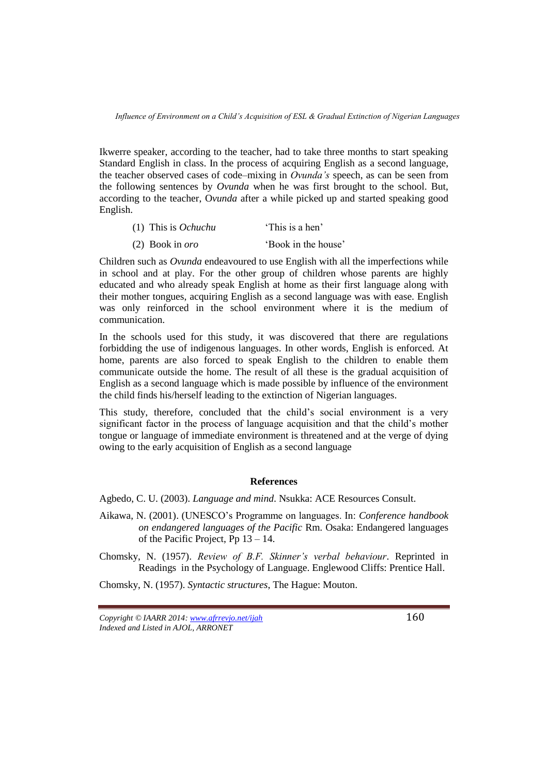Ikwerre speaker, according to the teacher, had to take three months to start speaking Standard English in class. In the process of acquiring English as a second language, the teacher observed cases of code–mixing in *Ovunda's* speech, as can be seen from the following sentences by *Ovunda* when he was first brought to the school. But, according to the teacher, O*vunda* after a while picked up and started speaking good English.

- (1) This is *Ochuchu* 'This is a hen'
- (2) Book in *oro* 'Book in the house'

Children such as *Ovunda* endeavoured to use English with all the imperfections while in school and at play. For the other group of children whose parents are highly educated and who already speak English at home as their first language along with their mother tongues, acquiring English as a second language was with ease. English was only reinforced in the school environment where it is the medium of communication.

In the schools used for this study, it was discovered that there are regulations forbidding the use of indigenous languages. In other words, English is enforced. At home, parents are also forced to speak English to the children to enable them communicate outside the home. The result of all these is the gradual acquisition of English as a second language which is made possible by influence of the environment the child finds his/herself leading to the extinction of Nigerian languages.

This study, therefore, concluded that the child's social environment is a very significant factor in the process of language acquisition and that the child's mother tongue or language of immediate environment is threatened and at the verge of dying owing to the early acquisition of English as a second language

### **References**

Agbedo, C. U. (2003). *Language and mind*. Nsukka: ACE Resources Consult.

Aikawa, N. (2001). (UNESCO's Programme on languages. In: *Conference handbook on endangered languages of the Pacific* Rm. Osaka: Endangered languages of the Pacific Project, Pp 13 – 14.

Chomsky, N. (1957). *Review of B.F. Skinner's verbal behaviour*. Reprinted in Readings in the Psychology of Language. Englewood Cliffs: Prentice Hall.

Chomsky, N. (1957). *Syntactic structures*, The Hague: Mouton.

*Copyright © IAARR 2014: www.afrrevjo.net/ijah* 160 *Indexed and Listed in AJOL, ARRONET*